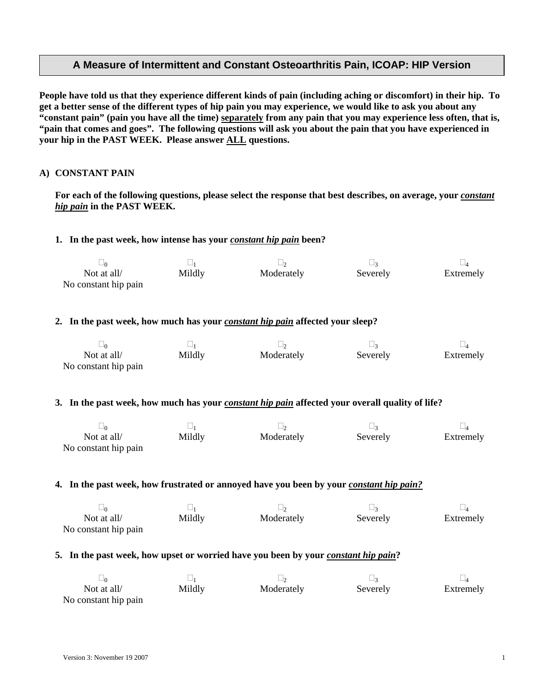# **A Measure of Intermittent and Constant Osteoarthritis Pain, ICOAP: HIP Version**

**People have told us that they experience different kinds of pain (including aching or discomfort) in their hip. To get a better sense of the different types of hip pain you may experience, we would like to ask you about any "constant pain" (pain you have all the time) separately from any pain that you may experience less often, that is, "pain that comes and goes". The following questions will ask you about the pain that you have experienced in your hip in the PAST WEEK. Please answer ALL questions.** 

## **A) CONSTANT PAIN**

 $\overline{\phantom{0}}$ 

For each of the following questions, please select the response that best describes, on average, your *constant hip pain* **in the PAST WEEK.** 

### **1.** In the past week, how intense has your *constant hip pain* been?

|                      | 一      |            | $\overline{\phantom{a}}$ |           |
|----------------------|--------|------------|--------------------------|-----------|
| Not at all/          | Mildly | Moderately | Severely                 | Extremely |
| No constant hip pain |        |            |                          |           |

### **2. In the past week, how much has your** *constant hip pain* **affected your sleep?**

| ∟∩                                  |        |            |          |           |
|-------------------------------------|--------|------------|----------|-----------|
| Not at all/<br>No constant hip pain | Mildly | Moderately | Severely | Extremely |

#### **3. In the past week, how much has your** *constant hip pain* **affected your overall quality of life?**

| Not at all/          | Mildly | Moderately | Severely | Extremely |
|----------------------|--------|------------|----------|-----------|
| No constant hip pain |        |            |          |           |

#### **4. In the past week, how frustrated or annoyed have you been by your** *constant hip pain?*

|                      | ىسا    |            | $\overline{\phantom{a}}$ |           |
|----------------------|--------|------------|--------------------------|-----------|
| Not at all/          | Mildly | Moderately | Severely                 | Extremely |
| No constant hip pain |        |            |                          |           |

#### **5. In the past week, how upset or worried have you been by your** *constant hip pain***?**

| Not at all/          | Mildly | Moderately | Severely | Extremely |
|----------------------|--------|------------|----------|-----------|
| No constant hip pain |        |            |          |           |